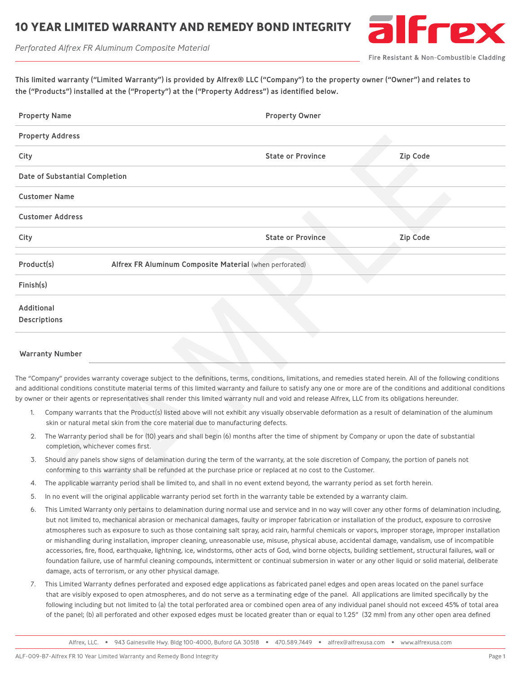## **10 YEAR LIMITED WARRANTY AND REMEDY BOND INTEGRITY**

*Perforated Alfrex FR Aluminum Composite Material*



Fire Resistant & Non-Combustible Cladding

| This limited warranty ("Limited Warranty") is provided by Alfrex® LLC ("Company") to the property owner ("Owner") and relates to |  |
|----------------------------------------------------------------------------------------------------------------------------------|--|
| the ("Products") installed at the ("Property") at the ("Property Address") as identified below.                                  |  |

| <b>Property Name</b> |                                                                                                                                                                                                                                                                                                                                                                                                                                                                                                 | <b>Property Owner</b>    |                 |  |
|----------------------|-------------------------------------------------------------------------------------------------------------------------------------------------------------------------------------------------------------------------------------------------------------------------------------------------------------------------------------------------------------------------------------------------------------------------------------------------------------------------------------------------|--------------------------|-----------------|--|
|                      | <b>Property Address</b>                                                                                                                                                                                                                                                                                                                                                                                                                                                                         |                          |                 |  |
| City                 |                                                                                                                                                                                                                                                                                                                                                                                                                                                                                                 | <b>State or Province</b> | <b>Zip Code</b> |  |
|                      | Date of Substantial Completion                                                                                                                                                                                                                                                                                                                                                                                                                                                                  |                          |                 |  |
|                      | <b>Customer Name</b>                                                                                                                                                                                                                                                                                                                                                                                                                                                                            |                          |                 |  |
|                      | <b>Customer Address</b>                                                                                                                                                                                                                                                                                                                                                                                                                                                                         |                          |                 |  |
| City                 |                                                                                                                                                                                                                                                                                                                                                                                                                                                                                                 | <b>State or Province</b> | <b>Zip Code</b> |  |
| Product(s)           | Alfrex FR Aluminum Composite Material (when perforated)                                                                                                                                                                                                                                                                                                                                                                                                                                         |                          |                 |  |
| Finish(s)            |                                                                                                                                                                                                                                                                                                                                                                                                                                                                                                 |                          |                 |  |
| Additional           | <b>Descriptions</b>                                                                                                                                                                                                                                                                                                                                                                                                                                                                             |                          |                 |  |
|                      | <b>Warranty Number</b>                                                                                                                                                                                                                                                                                                                                                                                                                                                                          |                          |                 |  |
|                      | The "Company" provides warranty coverage subject to the definitions, terms, conditions, limitations, and remedies stated herein. All of the following conditions<br>and additional conditions constitute material terms of this limited warranty and failure to satisfy any one or more are of the conditions and additional conditions<br>by owner or their agents or representatives shall render this limited warranty null and void and release Alfrex, LLC from its obligations hereunder. |                          |                 |  |
| 1.                   | Company warrants that the Product(s) listed above will not exhibit any visually observable deformation as a result of delamination of the aluminum<br>skin or natural metal skin from the core material due to manufacturing defects.                                                                                                                                                                                                                                                           |                          |                 |  |
| 2.                   | The Warranty period shall be for (10) years and shall begin (6) months after the time of shipment by Company or upon the date of substantial<br>completion, whichever comes first.                                                                                                                                                                                                                                                                                                              |                          |                 |  |
| 3.                   | Should any panels show signs of delamination during the term of the warranty, at the sole discretion of Company, the portion of panels not<br>conforming to this warranty shall be refunded at the purchase price or replaced at no cost to the Customer.                                                                                                                                                                                                                                       |                          |                 |  |
| 4.                   | The applicable warranty period shall be limited to, and shall in no event extend beyond, the warranty period as set forth herein.                                                                                                                                                                                                                                                                                                                                                               |                          |                 |  |
| 5.                   | In no event will the original applicable warranty period set forth in the warranty table be extended by a warranty claim.                                                                                                                                                                                                                                                                                                                                                                       |                          |                 |  |
| 6.                   | This Limited Warranty only pertains to delamination during normal use and service and in no way will cover any other forms of delamination including,<br>but not limited to, mechanical abrasion or mechanical damages, faulty or improper fabrication or installation of the product, exposure to corrosive<br>atmospheres such as exposure to such as those containing salt spray, acid rain, harmful chemicals or vapors, improper storage, improper installation                            |                          |                 |  |

## Warranty Number

- 1. Company warrants that the Product(s) listed above will not exhibit any visually observable deformation as a result of delamination of the aluminum skin or natural metal skin from the core material due to manufacturing defects.
- 2. The Warranty period shall be for (10) years and shall begin (6) months after the time of shipment by Company or upon the date of substantial completion, whichever comes first.
- 3. Should any panels show signs of delamination during the term of the warranty, at the sole discretion of Company, the portion of panels not conforming to this warranty shall be refunded at the purchase price or replaced at no cost to the Customer.
- 4. The applicable warranty period shall be limited to, and shall in no event extend beyond, the warranty period as set forth herein.
- 5. In no event will the original applicable warranty period set forth in the warranty table be extended by a warranty claim.
- 6. This Limited Warranty only pertains to delamination during normal use and service and in no way will cover any other forms of delamination including, but not limited to, mechanical abrasion or mechanical damages, faulty or improper fabrication or installation of the product, exposure to corrosive atmospheres such as exposure to such as those containing salt spray, acid rain, harmful chemicals or vapors, improper storage, improper installation or mishandling during installation, improper cleaning, unreasonable use, misuse, physical abuse, accidental damage, vandalism, use of incompatible accessories, fire, flood, earthquake, lightning, ice, windstorms, other acts of God, wind borne objects, building settlement, structural failures, wall or foundation failure, use of harmful cleaning compounds, intermittent or continual submersion in water or any other liquid or solid material, deliberate damage, acts of terrorism, or any other physical damage.
- 7. This Limited Warranty defines perforated and exposed edge applications as fabricated panel edges and open areas located on the panel surface that are visibly exposed to open atmospheres, and do not serve as a terminating edge of the panel. All applications are limited specifically by the following including but not limited to (a) the total perforated area or combined open area of any individual panel should not exceed 45% of total area of the panel; (b) all perforated and other exposed edges must be located greater than or equal to 1.25" (32 mm) from any other open area defined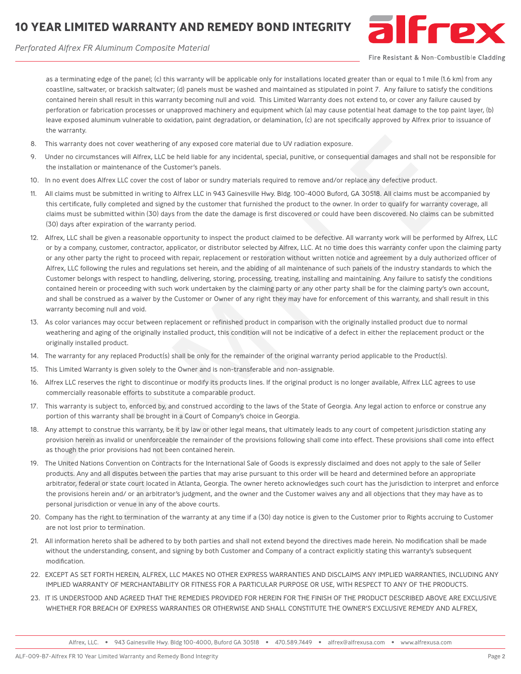## **10 YEAR LIMITED WARRANTY AND REMEDY BOND INTEGRITY**





Fire Resistant & Non-Combustible Cladding

as a terminating edge of the panel; (c) this warranty will be applicable only for installations located greater than or equal to 1 mile (1.6 km) from any coastline, saltwater, or brackish saltwater; (d) panels must be washed and maintained as stipulated in point 7. Any failure to satisfy the conditions contained herein shall result in this warranty becoming null and void. This Limited Warranty does not extend to, or cover any failure caused by perforation or fabrication processes or unapproved machinery and equipment which (a) may cause potential heat damage to the top paint layer, (b) leave exposed aluminum vulnerable to oxidation, paint degradation, or delamination, (c) are not specifically approved by Alfrex prior to issuance of the warranty.

- 8. This warranty does not cover weathering of any exposed core material due to UV radiation exposure.
- 9. Under no circumstances will Alfrex, LLC be held liable for any incidental, special, punitive, or consequential damages and shall not be responsible for the installation or maintenance of the Customer's panels.
- 10. In no event does Alfrex LLC cover the cost of labor or sundry materials required to remove and/or replace any defective product.
- 11. All claims must be submitted in writing to Alfrex LLC in 943 Gainesville Hwy. Bldg. 100-4000 Buford, GA 30518. All claims must be accompanied by this certificate, fully completed and signed by the customer that furnished the product to the owner. In order to qualify for warranty coverage, all claims must be submitted within (30) days from the date the damage is first discovered or could have been discovered. No claims can be submitted (30) days after expiration of the warranty period.
- 12. Alfrex, LLC shall be given a reasonable opportunity to inspect the product claimed to be defective. All warranty work will be performed by Alfrex, LLC or by a company, customer, contractor, applicator, or distributor selected by Alfrex, LLC. At no time does this warranty confer upon the claiming party or any other party the right to proceed with repair, replacement or restoration without written notice and agreement by a duly authorized officer of Alfrex, LLC following the rules and regulations set herein, and the abiding of all maintenance of such panels of the industry standards to which the Customer belongs with respect to handling, delivering, storing, processing, treating, installing and maintaining. Any failure to satisfy the conditions contained herein or proceeding with such work undertaken by the claiming party or any other party shall be for the claiming party's own account, and shall be construed as a waiver by the Customer or Owner of any right they may have for enforcement of this warranty, and shall result in this warranty becoming null and void. Is warranty does not cover weatening of any occurse con reasted due to UV radiation exposure.<br>In section of crumatances will Afree, LLC be held liable for any incidental, special, puntitive, or consequential damages and sh
- 13. As color variances may occur between replacement or refinished product in comparison with the originally installed product due to normal weathering and aging of the originally installed product, this condition will not be indicative of a defect in either the replacement product or the originally installed product.
- 14. The warranty for any replaced Product(s) shall be only for the remainder of the original warranty period applicable to the Product(s).
- 15. This Limited Warranty is given solely to the Owner and is non-transferable and non-assignable.
- 16. Alfrex LLC reserves the right to discontinue or modify its products lines. If the original product is no longer available, Alfrex LLC agrees to use commercially reasonable efforts to substitute a comparable product.
- 17. This warranty is subject to, enforced by, and construed according to the laws of the State of Georgia. Any legal action to enforce or construe any portion of this warranty shall be brought in a Court of Company's choice in Georgia.
- 18. Any attempt to construe this warranty, be it by law or other legal means, that ultimately leads to any court of competent jurisdiction stating any provision herein as invalid or unenforceable the remainder of the provisions following shall come into effect. These provisions shall come into effect as though the prior provisions had not been contained herein.
- 19. The United Nations Convention on Contracts for the International Sale of Goods is expressly disclaimed and does not apply to the sale of Seller products. Any and all disputes between the parties that may arise pursuant to this order will be heard and determined before an appropriate arbitrator, federal or state court located in Atlanta, Georgia. The owner hereto acknowledges such court has the jurisdiction to interpret and enforce the provisions herein and/ or an arbitrator's judgment, and the owner and the Customer waives any and all objections that they may have as to personal jurisdiction or venue in any of the above courts.
- 20. Company has the right to termination of the warranty at any time if a (30) day notice is given to the Customer prior to Rights accruing to Customer are not lost prior to termination.
- 21. All information hereto shall be adhered to by both parties and shall not extend beyond the directives made herein. No modification shall be made without the understanding, consent, and signing by both Customer and Company of a contract explicitly stating this warranty's subsequent modification.
- 22. EXCEPT AS SET FORTH HEREIN, ALFREX, LLC MAKES NO OTHER EXPRESS WARRANTIES AND DISCLAIMS ANY IMPLIED WARRANTIES, INCLUDING ANY IMPLIED WARRANTY OF MERCHANTABILITY OR FITNESS FOR A PARTICULAR PURPOSE OR USE, WITH RESPECT TO ANY OF THE PRODUCTS.
- 23. IT IS UNDERSTOOD AND AGREED THAT THE REMEDIES PROVIDED FOR HEREIN FOR THE FINISH OF THE PRODUCT DESCRIBED ABOVE ARE EXCLUSIVE WHETHER FOR BREACH OF EXPRESS WARRANTIES OR OTHERWISE AND SHALL CONSTITUTE THE OWNER'S EXCLUSIVE REMEDY AND ALFREX,